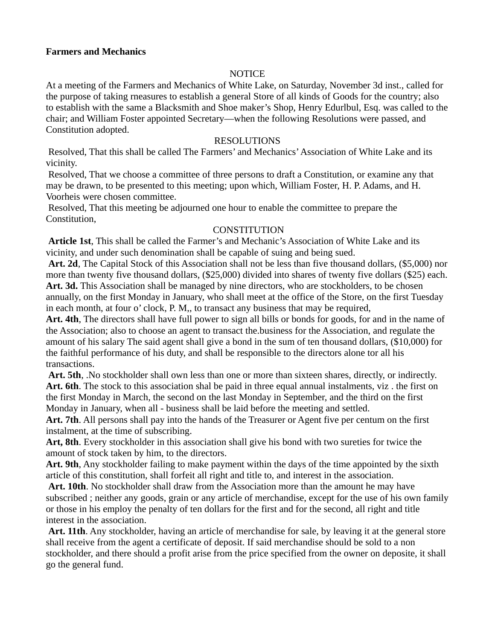### **Farmers and Mechanics**

# **NOTICE**

At a meeting of the Farmers and Mechanics of White Lake, on Saturday, November 3d inst., called for the purpose of taking rneasures to establish a general Store of all kinds of Goods for the country; also to establish with the same a Blacksmith and Shoe maker's Shop, Henry Edurlbul, Esq. was called to the chair; and William Foster appointed Secretary—when the following Resolutions were passed, and Constitution adopted.

### RESOLUTIONS

 Resolved, That this shall be called The Farmers' and Mechanics' Association of White Lake and its vicinity.

 Resolved, That we choose a committee of three persons to draft a Constitution, or examine any that may be drawn, to be presented to this meeting; upon which, William Foster, H. P. Adams, and H. Voorheis were chosen committee.

 Resolved, That this meeting be adjourned one hour to enable the committee to prepare the Constitution,

# **CONSTITUTION**

**Article 1st**, This shall be called the Farmer's and Mechanic's Association of White Lake and its vicinity, and under such denomination shall be capable of suing and being sued.

**Art. 2d**, The Capital Stock of this Association shall not be less than five thousand dollars, (\$5,000) nor more than twenty five thousand dollars, (\$25,000) divided into shares of twenty five dollars (\$25) each. Art. 3d. This Association shall be managed by nine directors, who are stockholders, to be chosen annually, on the first Monday in January, who shall meet at the office of the Store, on the first Tuesday in each month, at four o' clock, P. M,, to transact any business that may be required,

**Art. 4th**, The directors shall have full power to sign all bills or bonds for goods, for and in the name of the Association; also to choose an agent to transact the.business for the Association, and regulate the amount of his salary The said agent shall give a bond in the sum of ten thousand dollars, (\$10,000) for the faithful performance of his duty, and shall be responsible to the directors alone tor all his transactions.

**Art. 5th**, .No stockholder shall own less than one or more than sixteen shares, directly, or indirectly. **Art. 6th**. The stock to this association shal be paid in three equal annual instalments, viz . the first on the first Monday in March, the second on the last Monday in September, and the third on the first Monday in January, when all - business shall be laid before the meeting and settled.

**Art. 7th**. All persons shall pay into the hands of the Treasurer or Agent five per centum on the first instalment, at the time of subscribing.

**Art, 8th**. Every stockholder in this association shall give his bond with two sureties for twice the amount of stock taken by him, to the directors.

**Art. 9th**, Any stockholder failing to make payment within the days of the time appointed by the sixth article of this constitution, shall forfeit all right and title to, and interest in the association.

**Art. 10th**. No stockholder shall draw from the Association more than the amount he may have subscribed ; neither any goods, grain or any article of merchandise, except for the use of his own family or those in his employ the penalty of ten dollars for the first and for the second, all right and title interest in the association.

**Art. 11th**. Any stockholder, having an article of merchandise for sale, by leaving it at the general store shall receive from the agent a certificate of deposit. If said merchandise should be sold to a non stockholder, and there should a profit arise from the price specified from the owner on deposite, it shall go the general fund.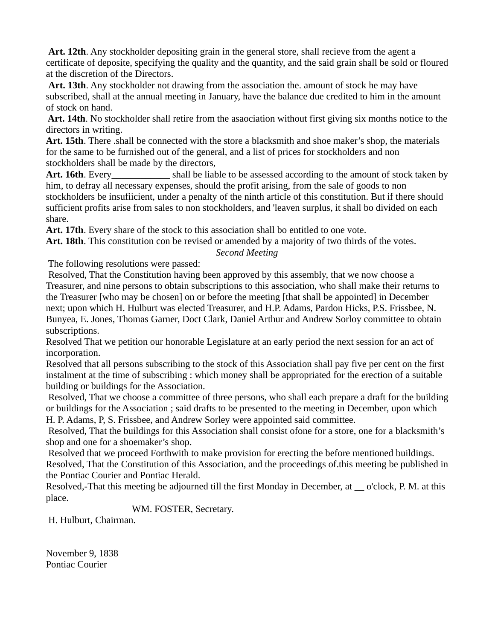**Art. 12th**. Any stockholder depositing grain in the general store, shall recieve from the agent a certificate of deposite, specifying the quality and the quantity, and the said grain shall be sold or floured at the discretion of the Directors.

**Art. 13th**. Any stockholder not drawing from the association the. amount of stock he may have subscribed, shall at the annual meeting in January, have the balance due credited to him in the amount of stock on hand.

 **Art. 14th**. No stockholder shall retire from the asaociation without first giving six months notice to the directors in writing.

**Art. 15th**. There .shall be connected with the store a blacksmith and shoe maker's shop, the materials for the same to be furnished out of the general, and a list of prices for stockholders and non stockholders shall be made by the directors,

Art. 16th. Every shall be liable to be assessed according to the amount of stock taken by him, to defray all necessary expenses, should the profit arising, from the sale of goods to non stockholders be insufiicient, under a penalty of the ninth article of this constitution. But if there should sufficient profits arise from sales to non stockholders, and 'leaven surplus, it shall bo divided on each share.

**Art. 17th**. Every share of the stock to this association shall bo entitled to one vote.

**Art. 18th**. This constitution con be revised or amended by a majority of two thirds of the votes.

*Second Meeting*

The following resolutions were passed:

 Resolved, That the Constitution having been approved by this assembly, that we now choose a Treasurer, and nine persons to obtain subscriptions to this association, who shall make their returns to the Treasurer [who may be chosen] on or before the meeting [that shall be appointed] in December next; upon which H. Hulburt was elected Treasurer, and H.P. Adams, Pardon Hicks, P.S. Frissbee, N. Bunyea, E. Jones, Thomas Garner, Doct Clark, Daniel Arthur and Andrew Sorloy committee to obtain subscriptions.

Resolved That we petition our honorable Legislature at an early period the next session for an act of incorporation.

Resolved that all persons subscribing to the stock of this Association shall pay five per cent on the first instalment at the time of subscribing : which money shall be appropriated for the erection of a suitable building or buildings for the Association.

 Resolved, That we choose a committee of three persons, who shall each prepare a draft for the building or buildings for the Association ; said drafts to be presented to the meeting in December, upon which H. P. Adams, P, S. Frissbee, and Andrew Sorley were appointed said committee.

 Resolved, That the buildings for this Association shall consist ofone for a store, one for a blacksmith's shop and one for a shoemaker's shop.

 Resolved that we proceed Forthwith to make provision for erecting the before mentioned buildings. Resolved, That the Constitution of this Association, and the proceedings of.this meeting be published in the Pontiac Courier and Pontiac Herald.

Resolved,-That this meeting be adjourned till the first Monday in December, at \_\_ o'clock, P. M. at this place.

WM. FOSTER, Secretary.

H. Hulburt, Chairman.

November 9, 1838 Pontiac Courier